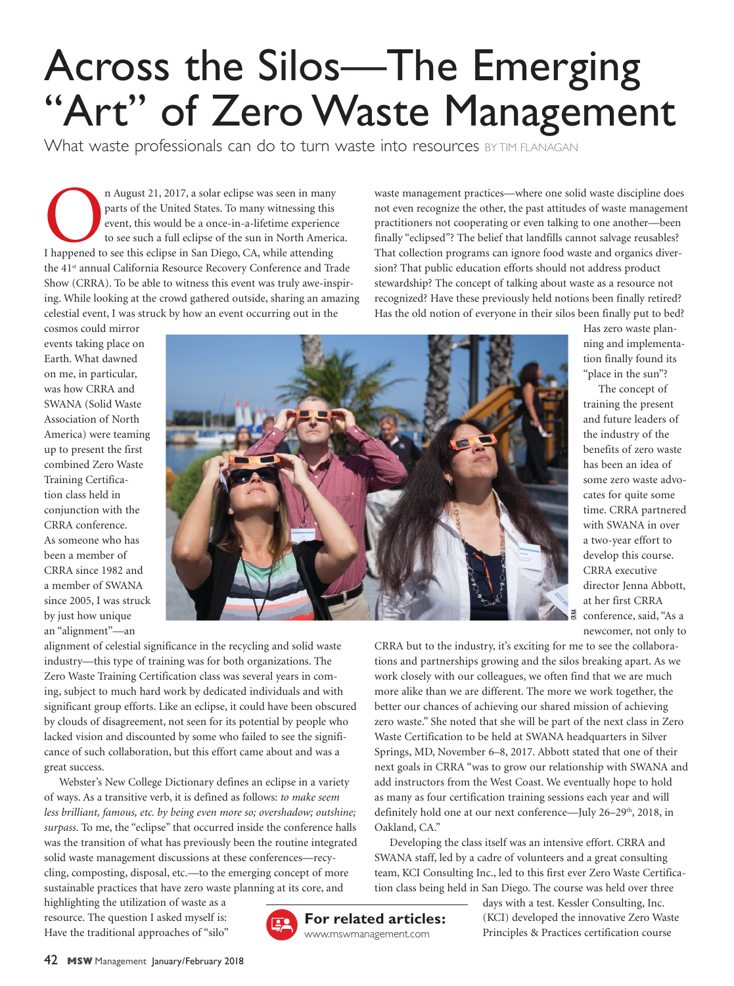## Across the Silos—The Emerging "Art" of Zero Waste Management

What waste professionals can do to turn waste into resources BYTIM FLANAGAN

n August 21, 2017, a solar eclipse was seen in many<br>parts of the United States. To many witnessing this<br>event, this would be a once-in-a-lifetime experienc<br>to see such a full eclipse of the sun in North Ameri<br>I happened to n August 21, 2017, a solar eclipse was seen in many parts of the United States. To many witnessing this event, this would be a once-in-a-lifetime experience to see such a full eclipse of the sun in North America. the 41<sup>st</sup> annual California Resource Recovery Conference and Trade Show (CRRA). To be able to witness this event was truly awe-inspiring. While looking at the crowd gathered outside, sharing an amazing celestial event, I was struck by how an event occurring out in the

waste management practices—where one solid waste discipline does not even recognize the other, the past attitudes of waste management practitioners not cooperating or even talking to one another—been finally "eclipsed"? The belief that landfills cannot salvage reusables? That collection programs can ignore food waste and organics diversion? That public education efforts should not address product stewardship? The concept of talking about waste as a resource not recognized? Have these previously held notions been finally retired? Has the old notion of everyone in their silos been finally put to bed?

tions and partnerships growing and the silos breaking apart. As we work closely with our colleagues, we often find that we are much more alike than we are different. The more we work together, the better our chances of achieving our shared mission of achieving zero waste." She noted that she will be part of the next class in Zero Waste Certification to be held at SWANA headquarters in Silver Springs, MD, November 6–8, 2017. Abbott stated that one of their next goals in CRRA "was to grow our relationship with SWANA and add instructors from the West Coast. We eventually hope to hold as many as four certification training sessions each year and will definitely hold one at our next conference—July 26-29<sup>th</sup>, 2018, in

Developing the class itself was an intensive effort. CRRA and SWANA staff, led by a cadre of volunteers and a great consulting

cosmos could mirror events taking place on Earth. What dawned on me, in particular, was how CRRA and SWANA (Solid Waste Association of North America) were teaming up to present the first combined Zero Waste Training Certification class held in conjunction with the CRRA conference. As someone who has been a member of CRRA since 1982 and a member of SWANA since 2005, I was struck by just how unique an "alignment"—an



Has zero waste planning and implementation finally found its "place in the sun"?

The concept of training the present and future leaders of the industry of the benefits of zero waste has been an idea of some zero waste advocates for quite some time. CRRA partnered with SWANA in over a two-year effort to develop this course. CRRA executive director Jenna Abbott, at her first CRRA conference, said, "As a newcomer, not only to CRRA but to the industry, it's exciting for me to see the collabora-

alignment of celestial significance in the recycling and solid waste industry—this type of training was for both organizations. The Zero Waste Training Certification class was several years in coming, subject to much hard work by dedicated individuals and with significant group efforts. Like an eclipse, it could have been obscured by clouds of disagreement, not seen for its potential by people who lacked vision and discounted by some who failed to see the significance of such collaboration, but this effort came about and was a great success.

Webster's New College Dictionary defines an eclipse in a variety of ways. As a transitive verb, it is defined as follows: *to make seem less brilliant, famous, etc. by being even more so; overshadow; outshine; surpass*. To me, the "eclipse" that occurred inside the conference halls was the transition of what has previously been the routine integrated solid waste management discussions at these conferences—recycling, composting, disposal, etc.—to the emerging concept of more sustainable practices that have zero waste planning at its core, and

highlighting the utilization of waste as a resource. The question I asked myself is: Have the traditional approaches of "silo"



Oakland, CA."

team, KCI Consulting Inc., led to this first ever Zero Waste Certification class being held in San Diego. The course was held over three days with a test. Kessler Consulting, Inc. (KCI) developed the innovative Zero Waste

Principles & Practices certification course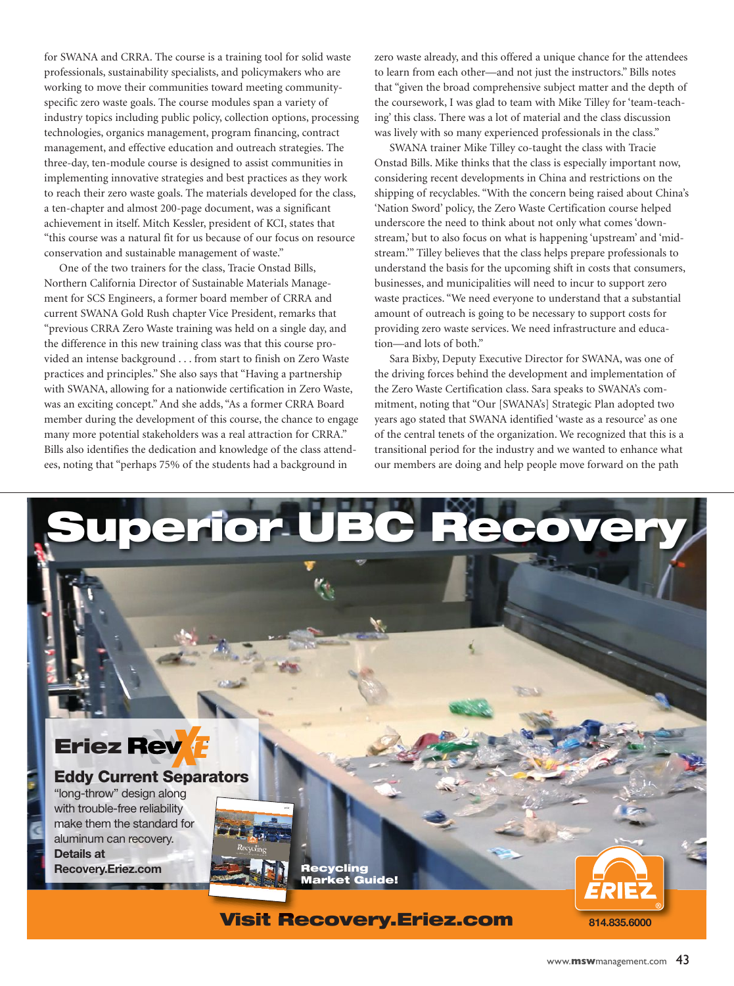for SWANA and CRRA. The course is a training tool for solid waste professionals, sustainability specialists, and policymakers who are working to move their communities toward meeting communityspecific zero waste goals. The course modules span a variety of industry topics including public policy, collection options, processing technologies, organics management, program financing, contract management, and effective education and outreach strategies. The three-day, ten-module course is designed to assist communities in implementing innovative strategies and best practices as they work to reach their zero waste goals. The materials developed for the class, a ten-chapter and almost 200-page document, was a significant achievement in itself. Mitch Kessler, president of KCI, states that "this course was a natural fit for us because of our focus on resource conservation and sustainable management of waste."

One of the two trainers for the class, Tracie Onstad Bills, Northern California Director of Sustainable Materials Management for SCS Engineers, a former board member of CRRA and current SWANA Gold Rush chapter Vice President, remarks that "previous CRRA Zero Waste training was held on a single day, and the difference in this new training class was that this course provided an intense background . . . from start to finish on Zero Waste practices and principles." She also says that "Having a partnership with SWANA, allowing for a nationwide certification in Zero Waste, was an exciting concept." And she adds, "As a former CRRA Board member during the development of this course, the chance to engage many more potential stakeholders was a real attraction for CRRA." Bills also identifies the dedication and knowledge of the class attendees, noting that "perhaps 75% of the students had a background in

zero waste already, and this offered a unique chance for the attendees to learn from each other—and not just the instructors." Bills notes that "given the broad comprehensive subject matter and the depth of the coursework, I was glad to team with Mike Tilley for 'team-teaching' this class. There was a lot of material and the class discussion was lively with so many experienced professionals in the class."

SWANA trainer Mike Tilley co-taught the class with Tracie Onstad Bills. Mike thinks that the class is especially important now, considering recent developments in China and restrictions on the shipping of recyclables. "With the concern being raised about China's 'Nation Sword' policy, the Zero Waste Certification course helped underscore the need to think about not only what comes 'downstream,' but to also focus on what is happening 'upstream' and 'midstream.'" Tilley believes that the class helps prepare professionals to understand the basis for the upcoming shift in costs that consumers, businesses, and municipalities will need to incur to support zero waste practices. "We need everyone to understand that a substantial amount of outreach is going to be necessary to support costs for providing zero waste services. We need infrastructure and education—and lots of both."

Sara Bixby, Deputy Executive Director for SWANA, was one of the driving forces behind the development and implementation of the Zero Waste Certification class. Sara speaks to SWANA's commitment, noting that "Our [SWANA's] Strategic Plan adopted two years ago stated that SWANA identified 'waste as a resource' as one of the central tenets of the organization. We recognized that this is a transitional period for the industry and we wanted to enhance what our members are doing and help people move forward on the path